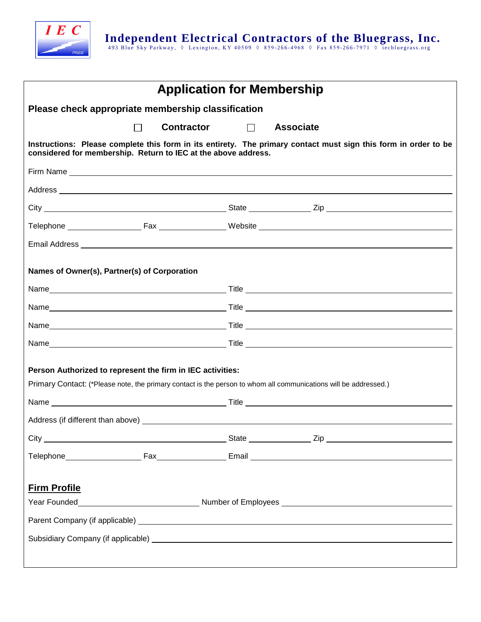

| <b>Application for Membership</b>                                                                                                                                                                                              |                            |  |  |  |  |
|--------------------------------------------------------------------------------------------------------------------------------------------------------------------------------------------------------------------------------|----------------------------|--|--|--|--|
| Please check appropriate membership classification                                                                                                                                                                             |                            |  |  |  |  |
| <b>Contractor</b><br>$\Box$                                                                                                                                                                                                    | $\Box$<br><b>Associate</b> |  |  |  |  |
| Instructions: Please complete this form in its entirety. The primary contact must sign this form in order to be<br>considered for membership. Return to IEC at the above address.                                              |                            |  |  |  |  |
|                                                                                                                                                                                                                                |                            |  |  |  |  |
|                                                                                                                                                                                                                                |                            |  |  |  |  |
|                                                                                                                                                                                                                                |                            |  |  |  |  |
|                                                                                                                                                                                                                                |                            |  |  |  |  |
|                                                                                                                                                                                                                                |                            |  |  |  |  |
| Names of Owner(s), Partner(s) of Corporation                                                                                                                                                                                   |                            |  |  |  |  |
|                                                                                                                                                                                                                                |                            |  |  |  |  |
|                                                                                                                                                                                                                                |                            |  |  |  |  |
|                                                                                                                                                                                                                                |                            |  |  |  |  |
|                                                                                                                                                                                                                                |                            |  |  |  |  |
| Person Authorized to represent the firm in IEC activities:<br>Primary Contact: (*Please note, the primary contact is the person to whom all communications will be addressed.)                                                 |                            |  |  |  |  |
|                                                                                                                                                                                                                                |                            |  |  |  |  |
| Address (if different than above) and the state of the state of the state of the state of the state of the state of the state of the state of the state of the state of the state of the state of the state of the state of th |                            |  |  |  |  |
|                                                                                                                                                                                                                                |                            |  |  |  |  |
|                                                                                                                                                                                                                                |                            |  |  |  |  |
| <b>Firm Profile</b>                                                                                                                                                                                                            |                            |  |  |  |  |
|                                                                                                                                                                                                                                |                            |  |  |  |  |
|                                                                                                                                                                                                                                |                            |  |  |  |  |
|                                                                                                                                                                                                                                |                            |  |  |  |  |
|                                                                                                                                                                                                                                |                            |  |  |  |  |